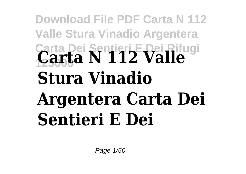## **Download File PDF Carta N 112 Valle Stura Vinadio Argentera Carta Dei Sentieri E Dei Rifugi <sup>125000</sup> Carta N 112 Valle Stura Vinadio Argentera Carta Dei Sentieri E Dei**

Page 1/50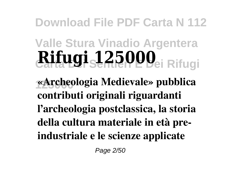**Download File PDF Carta N 112**

## **Valle Stura Vinadio Argentera Carta Dei Sentieri E Dei Rifugi Rifugi 125000**

**125000 «Archeologia Medievale» pubblica contributi originali riguardanti l'archeologia postclassica, la storia della cultura materiale in età preindustriale e le scienze applicate**

Page 2/50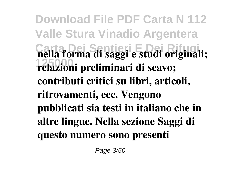**Download File PDF Carta N 112 Valle Stura Vinadio Argentera Carta Dei Sentieri E Dei Rifugi nella forma di saggi e studi originali; 125000 relazioni preliminari di scavo; contributi critici su libri, articoli, ritrovamenti, ecc. Vengono pubblicati sia testi in italiano che in altre lingue. Nella sezione Saggi di questo numero sono presenti**

Page 3/50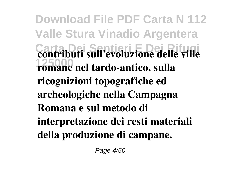**Download File PDF Carta N 112 Valle Stura Vinadio Argentera Contributi sull'evoluzione delle ville 125000 romane nel tardo-antico, sulla ricognizioni topografiche ed archeologiche nella Campagna Romana e sul metodo di interpretazione dei resti materiali della produzione di campane.**

Page 4/50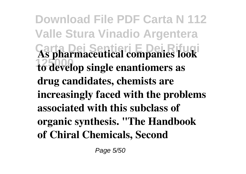**Download File PDF Carta N 112 Valle Stura Vinadio Argentera Carta Dei Sentieri E Dei Rifugi As pharmaceutical companies look 125000 to develop single enantiomers as drug candidates, chemists are increasingly faced with the problems associated with this subclass of organic synthesis. "The Handbook of Chiral Chemicals, Second**

Page 5/50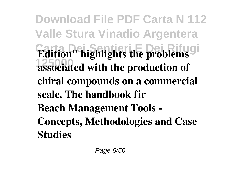**Download File PDF Carta N 112 Valle Stura Vinadio Argentera Edition" highlights the problems** gi **125000 associated with the production of chiral compounds on a commercial scale. The handbook fir Beach Management Tools - Concepts, Methodologies and Case Studies**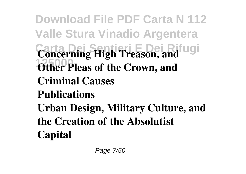**Download File PDF Carta N 112 Valle Stura Vinadio Argentera Concerning High Treason, and 1250** Other Pleas of the Crown, and **Criminal Causes Publications Urban Design, Military Culture, and the Creation of the Absolutist Capital**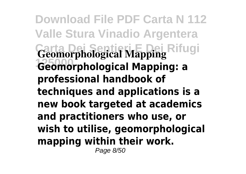**Download File PDF Carta N 112 Valle Stura Vinadio Argentera** Geomorphological Mapping Rifugi **125000 Geomorphological Mapping: a professional handbook of techniques and applications is a new book targeted at academics and practitioners who use, or wish to utilise, geomorphological mapping within their work.** Page 8/50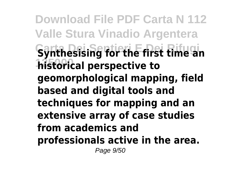**Download File PDF Carta N 112 Valle Stura Vinadio Argentera Carta Dei Sentieri E Dei Rifugi Synthesising for the first time an historical perspective to geomorphological mapping, field based and digital tools and techniques for mapping and an extensive array of case studies from academics and professionals active in the area.** Page 9/50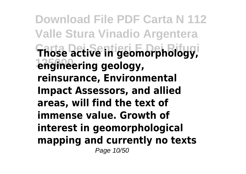**Download File PDF Carta N 112 Valle Stura Vinadio Argentera Carta Dei Sentieri E Dei Rifugi Those active in geomorphology, 125000 engineering geology, reinsurance, Environmental Impact Assessors, and allied areas, will find the text of immense value. Growth of interest in geomorphological mapping and currently no texts** Page 10/50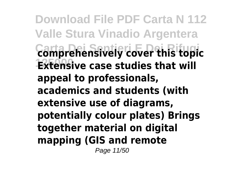**Download File PDF Carta N 112 Valle Stura Vinadio Argentera Carta Dei Sentieri E Dei Rifugi comprehensively cover this topic 12xtensive case studies that will appeal to professionals, academics and students (with extensive use of diagrams, potentially colour plates) Brings together material on digital mapping (GIS and remote** Page 11/50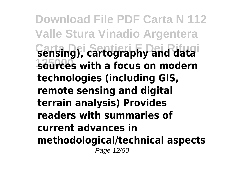**Download File PDF Carta N 112 Valle Stura Vinadio Argentera Carta Dei Sentieri E Dei Rifugi sensing), cartography and data 125000 sources with a focus on modern technologies (including GIS, remote sensing and digital terrain analysis) Provides readers with summaries of current advances in methodological/technical aspects** Page 12/50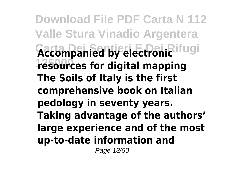**Download File PDF Carta N 112 Valle Stura Vinadio Argentera** Accompanied by electronic ifugi **125000 resources for digital mapping The Soils of Italy is the first comprehensive book on Italian pedology in seventy years. Taking advantage of the authors' large experience and of the most up-to-date information and**

Page 13/50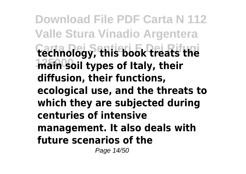**Download File PDF Carta N 112 Valle Stura Vinadio Argentera Carta Dei Sentieri E Dei Rifugi technology, this book treats the** *main soil types of Italy, their* **diffusion, their functions, ecological use, and the threats to which they are subjected during centuries of intensive management. It also deals with future scenarios of the**

Page 14/50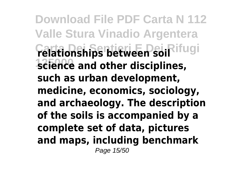**Download File PDF Carta N 112 Valle Stura Vinadio Argentera Carta Dei Sentieri E Dei Rifugi relationships between soil 125000 science and other disciplines, such as urban development, medicine, economics, sociology, and archaeology. The description of the soils is accompanied by a complete set of data, pictures and maps, including benchmark** Page 15/50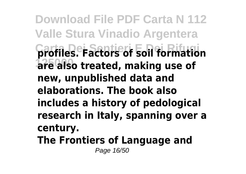**Download File PDF Carta N 112 Valle Stura Vinadio Argentera Carta Dei Sentieri E Dei Rifugi profiles. Factors of soil formation 125000 are also treated, making use of new, unpublished data and elaborations. The book also includes a history of pedological research in Italy, spanning over a century. The Frontiers of Language and**

Page 16/50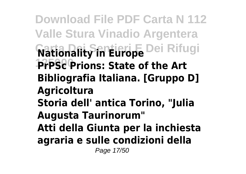**Download File PDF Carta N 112 Valle Stura Vinadio Argentera Nationality in Europe** Dei Rifugi **125000 PrPSc Prions: State of the Art Bibliografia Italiana. [Gruppo D] Agricoltura Storia dell' antica Torino, "Julia Augusta Taurinorum" Atti della Giunta per la inchiesta agraria e sulle condizioni della** Page 17/50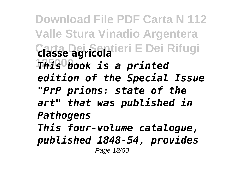**Download File PDF Carta N 112 Valle Stura Vinadio Argentera Carta Dei Sentieri E Dei Rifugi classe agricola 125000** *This book is a printed edition of the Special Issue "PrP prions: state of the art" that was published in Pathogens This four-volume catalogue, published 1848-54, provides* Page 18/50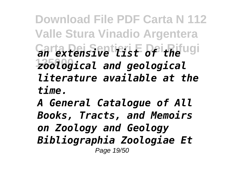**Download File PDF Carta N 112 Valle Stura Vinadio Argentera Carta Dei Sentieri E Dei Rifugi** *an extensive list of the* **125000** *zoological and geological literature available at the time.*

*A General Catalogue of All Books, Tracts, and Memoirs on Zoology and Geology Bibliographia Zoologiae Et* Page 19/50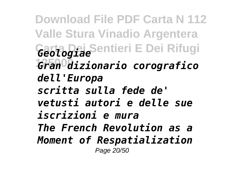**Download File PDF Carta N 112 Valle Stura Vinadio Argentera Carta Dei Sentieri E Dei Rifugi** *Geologiae* **125000** *Gran dizionario corografico dell'Europa scritta sulla fede de' vetusti autori e delle sue iscrizioni e mura The French Revolution as a Moment of Respatialization* Page 20/50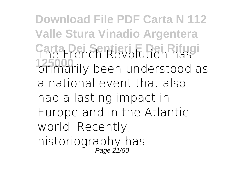**Download File PDF Carta N 112 Valle Stura Vinadio Argentera Carta Dei Sentieri E Dei Rifugi** The French Revolution has **125000** primarily been understood as a national event that also had a lasting impact in Europe and in the Atlantic world. Recently, historiography has Page 21/50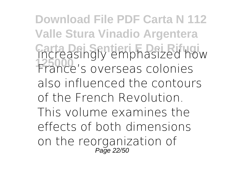**Download File PDF Carta N 112 Valle Stura Vinadio Argentera Carta Dei Sentieri E Dei Rifugi** increasingly emphasized how **125000** France's overseas colonies also influenced the contours of the French Revolution. This volume examines the effects of both dimensions on the reorganization of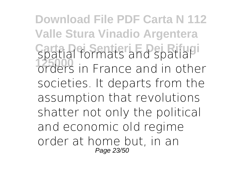**Download File PDF Carta N 112 Valle Stura Vinadio Argentera Carta Dei Sentieri E Dei Rifugi** spatial formats and spatial *better formats and spatial*<br>**1250** orders in France and in other societies. It departs from the assumption that revolutions shatter not only the political and economic old regime order at home but, in an Page 23/50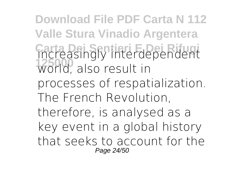**Download File PDF Carta N 112 Valle Stura Vinadio Argentera Carta Dei Sentieri E Dei Rifugi** increasingly interdependent **125000** world, also result in processes of respatialization. The French Revolution, therefore, is analysed as a key event in a global history that seeks to account for the Page 24/50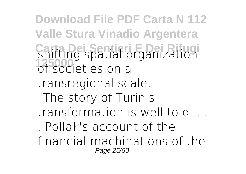**Download File PDF Carta N 112 Valle Stura Vinadio Argentera Carta Dei Sentieri E Dei Rifugi** shifting spatial organization of societies on a transregional scale. "The story of Turin's transformation is well told. . Pollak's account of the financial machinations of the Page 25/50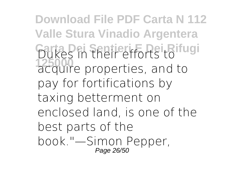**Download File PDF Carta N 112 Valle Stura Vinadio Argentera Carta Dei Sentieri E Dei Rifugi** Dukes in their efforts to **125000** acquire properties, and to pay for fortifications by taxing betterment on enclosed land, is one of the best parts of the book."—Simon Pepper, Page 26/50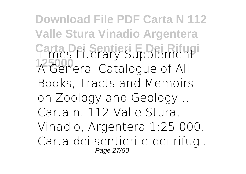**Download File PDF Carta N 112 Valle Stura Vinadio Argentera Carta Dei Sentieri E Dei Rifugi** Times Literary Supplement **125000** A General Catalogue of All Books, Tracts and Memoirs on Zoology and Geology... Carta n. 112 Valle Stura, Vinadio, Argentera 1:25.000. Carta dei sentieri e dei rifugi. Page 27/50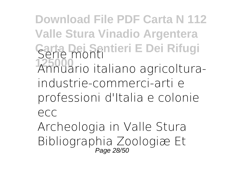**Download File PDF Carta N 112 Valle Stura Vinadio Argentera Carta Dei Sentieri E Dei Rifugi** Serie monti **125000** Annuario italiano agricolturaindustrie-commerci-arti e professioni d'Italia e colonie ecc

Archeologia in Valle Stura Bibliographia Zoologiæ Et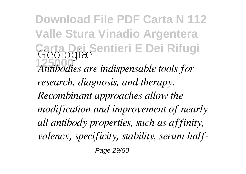**Download File PDF Carta N 112 Valle Stura Vinadio Argentera Carta Dei Sentieri E Dei Rifugi** Geologiæ **125000** *Antibodies are indispensable tools for research, diagnosis, and therapy. Recombinant approaches allow the modification and improvement of nearly all antibody properties, such as affinity, valency, specificity, stability, serum half-*

Page 29/50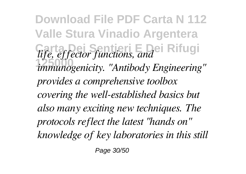**Download File PDF Carta N 112 Valle Stura Vinadio Argentera Carta Dei Sentieri E Dei Rifugi** *life, effector functions, and* **125000** *immunogenicity. "Antibody Engineering" provides a comprehensive toolbox covering the well-established basics but also many exciting new techniques. The protocols reflect the latest "hands on" knowledge of key laboratories in this still*

Page 30/50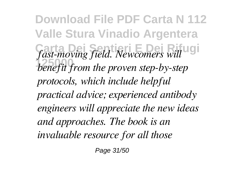**Download File PDF Carta N 112 Valle Stura Vinadio Argentera Carta Dei Sentieri E Dei Rifugi** *fast-moving field. Newcomers will* **125000** *benefit from the proven step-by-step protocols, which include helpful practical advice; experienced antibody engineers will appreciate the new ideas and approaches. The book is an invaluable resource for all those*

Page 31/50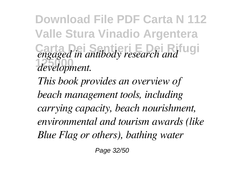**Download File PDF Carta N 112 Valle Stura Vinadio Argentera Candidate 2** *engaged in antibody research and* **125000** *development.*

*This book provides an overview of beach management tools, including carrying capacity, beach nourishment, environmental and tourism awards (like Blue Flag or others), bathing water*

Page 32/50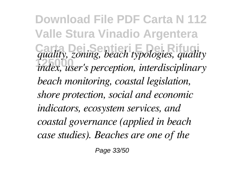**Download File PDF Carta N 112 Valle Stura Vinadio Argentera Carta Dei Sentieri E Dei Rifugi** *quality, zoning, beach typologies, quality* **125000** *index, user's perception, interdisciplinary beach monitoring, coastal legislation, shore protection, social and economic indicators, ecosystem services, and coastal governance (applied in beach case studies). Beaches are one of the*

Page 33/50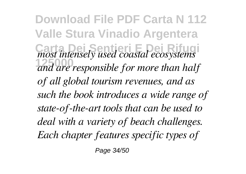**Download File PDF Carta N 112 Valle Stura Vinadio Argentera** *most intensely used coastal ecosystems* **125000** *and are responsible for more than half of all global tourism revenues, and as such the book introduces a wide range of state-of-the-art tools that can be used to deal with a variety of beach challenges. Each chapter features specific types of*

Page 34/50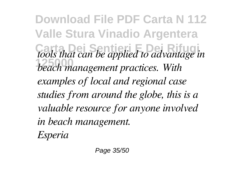**Download File PDF Carta N 112 Valle Stura Vinadio Argentera Carta Dei Sentieri E Dei Rifugi** *tools that can be applied to advantage in* **125000** *beach management practices. With examples of local and regional case studies from around the globe, this is a valuable resource for anyone involved in beach management. Esperia*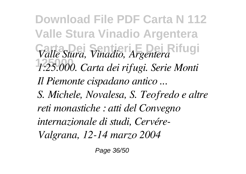**Download File PDF Carta N 112 Valle Stura Vinadio Argentera Carta Dei Sentieri E Dei Rifugi** *Valle Stura, Vinadio, Argentera* **125000** *1:25.000. Carta dei rifugi. Serie Monti Il Piemonte cispadano antico ... S. Michele, Novalesa, S. Teofredo e altre reti monastiche : atti del Convegno internazionale di studi, Cervére-Valgrana, 12-14 marzo 2004*

Page 36/50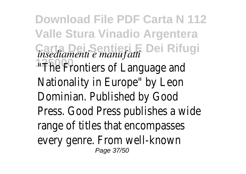**Download File PDF Carta N 112 Valle Stura Vinadio Argentera Carta Dei Sentieri E Dei Rifugi** *insediamenti e manufatti* **17500 Frontiers of Language and** Nationality in Europe" by Leon Dominian. Published by Good Press. Good Press publishes a wide range of titles that encompasses every genre. From well-known Page 37/50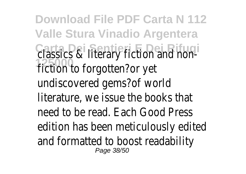**Download File PDF Carta N 112 Valle Stura Vinadio Argentera Carta Dei Sentieri E Dei Rifugi** classics & literary fiction and non-**125000** fiction to forgotten?or yet undiscovered gems?of world literature, we issue the books that need to be read. Each Good Press edition has been meticulously edited and formatted to boost readability Page 38/50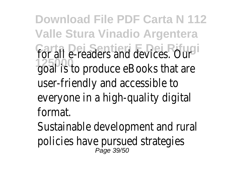**Download File PDF Carta N 112 Valle Stura Vinadio Argentera Carta Dei Sentieri E Dei Rifugi** for all e-readers and devices. Our **125000** goal is to produce eBooks that are user-friendly and accessible to everyone in a high-quality digital format.

Sustainable development and rural policies have pursued strategies<br><sup>Page 39/50</sup>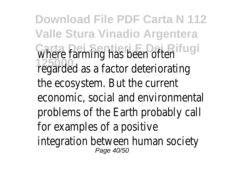**Download File PDF Carta N 112 Valle Stura Vinadio Argentera Carta Dei Sentieri E Dei Rifugi** where farming has been often **125000** regarded as a factor deteriorating the ecosystem. But the current economic, social and environmental problems of the Earth probably call for examples of a positive integration between human society Page 40/50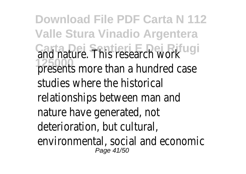**Download File PDF Carta N 112 Valle Stura Vinadio Argentera Carta Dei Sentieri E Dei Rifugi** and nature. This research work presents more than a hundred case studies where the historical relationships between man and nature have generated, not deterioration, but cultural, environmental, social and economic Page 41/50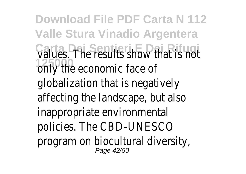**Download File PDF Carta N 112 Valle Stura Vinadio Argentera Carta Dei Sentieri E Dei Rifugi** values. The results show that is not **125000** only the economic face of globalization that is negatively affecting the landscape, but also inappropriate environmental policies. The CBD-UNESCO program on biocultural diversity, Page 42/50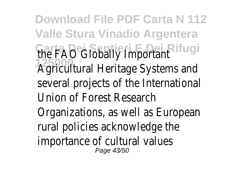**Download File PDF Carta N 112 Valle Stura Vinadio Argentera The FAO** Globally Important 125000<br>**Agricultural Heritage Systems and** several projects of the International Union of Forest Research Organizations, as well as European rural policies acknowledge the importance of cultural values Page 43/50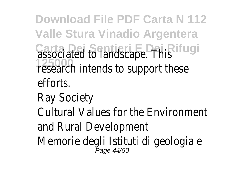**Download File PDF Carta N 112 Valle Stura Vinadio Argentera** Casta Dei Sentieri E Dei Rifthis **125000** research intends to support these efforts.

## Ray Society

Cultural Values for the Environment and Rural Development

Memorie degli Istituti di geologia e<br>Page 44/50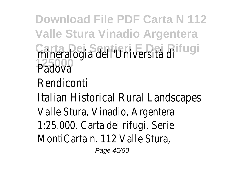**Download File PDF Carta N 112 Valle Stura Vinadio Argentera Carta Dei Sentieri E Dei Rifugi** mineralogia dell'Università di Padova Rendiconti Italian Historical Rural Landscapes

- Valle Stura, Vinadio, Argentera
- 1:25.000. Carta dei rifugi. Serie MontiCarta n. 112 Valle Stura,

Page 45/50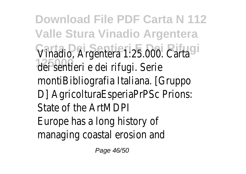**Download File PDF Carta N 112 Valle Stura Vinadio Argentera** Vinadio, Argentera 1:25.000. Carta dei sentieri e dei rifugi. Serie montiBibliografia Italiana. [Gruppo D] AgricolturaEsperiaPrPSc Prions: State of the ArtMDPI Europe has a long history of managing coastal erosion and

Page 46/50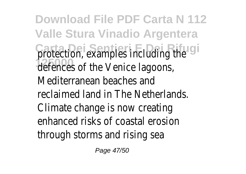**Download File PDF Carta N 112 Valle Stura Vinadio Argentera Crotection, examples including the** defences of the Venice lagoons, Mediterranean beaches and reclaimed land in The Netherlands. Climate change is now creating enhanced risks of coastal erosion through storms and rising sea

Page 47/50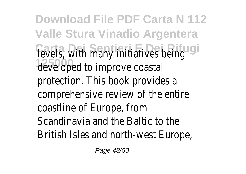**Download File PDF Carta N 112 Valle Stura Vinadio Argentera Tevels, with many initiatives being** developed to improve coastal protection. This book provides a comprehensive review of the entire coastline of Europe, from Scandinavia and the Baltic to the British Isles and north-west Europe,

Page 48/50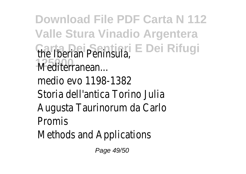**Download File PDF Carta N 112 Valle Stura Vinadio Argentera Carta Dei Sentieri E Dei Rifugi** the Iberian Peninsula, **125000** Mediterranean... medio evo 1198-1382 Storia dell'antica Torino Julia Augusta Taurinorum da Carlo Promis Methods and Applications

Page 49/50